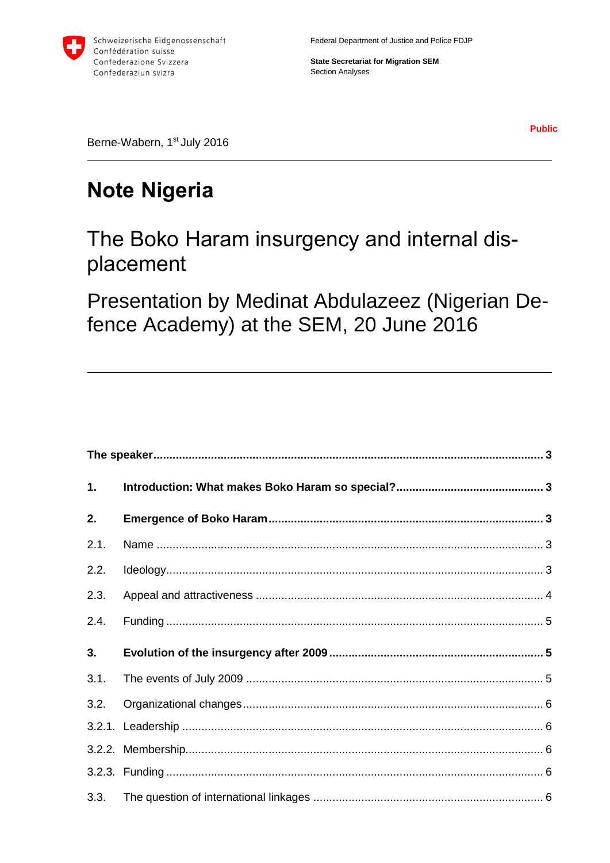

Federal Department of Justice and Police FDJP

**State Secretariat for Migration SEM Section Analyses** 

**Public** 

Berne-Wabern, 1<sup>st</sup> July 2016

# **Note Nigeria**

# The Boko Haram insurgency and internal displacement

Presentation by Medinat Abdulazeez (Nigerian Defence Academy) at the SEM, 20 June 2016

| 1.   |  |  |
|------|--|--|
| 2.   |  |  |
| 2.1. |  |  |
| 2.2. |  |  |
| 2.3. |  |  |
| 2.4. |  |  |
| 3.   |  |  |
| 3.1. |  |  |
| 3.2. |  |  |
|      |  |  |
|      |  |  |
|      |  |  |
| 3.3. |  |  |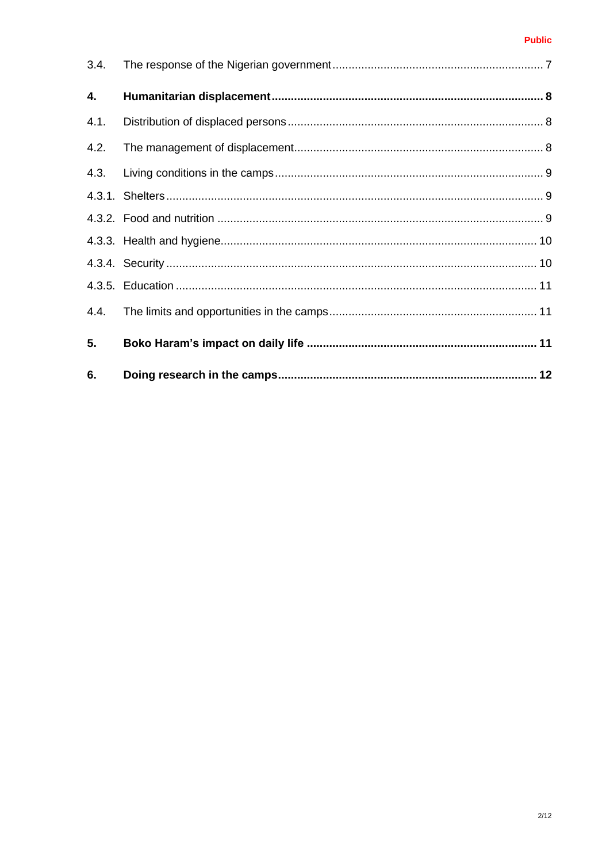#### **Public**

| 3.4. |  |
|------|--|
| 4.   |  |
| 4.1. |  |
| 4.2. |  |
| 4.3. |  |
|      |  |
|      |  |
|      |  |
|      |  |
|      |  |
| 4.4. |  |
| 5.   |  |
| 6.   |  |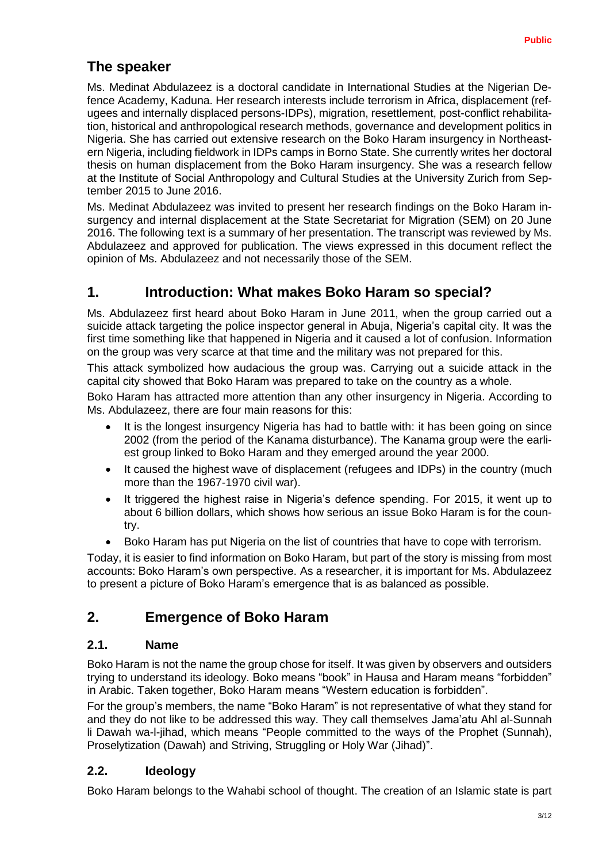# <span id="page-2-0"></span>**The speaker**

Ms. Medinat Abdulazeez is a doctoral candidate in International Studies at the Nigerian Defence Academy, Kaduna. Her research interests include terrorism in Africa, displacement (refugees and internally displaced persons-IDPs), migration, resettlement, post-conflict rehabilitation, historical and anthropological research methods, governance and development politics in Nigeria. She has carried out extensive research on the Boko Haram insurgency in Northeastern Nigeria, including fieldwork in IDPs camps in Borno State. She currently writes her doctoral thesis on human displacement from the Boko Haram insurgency. She was a research fellow at the Institute of Social Anthropology and Cultural Studies at the University Zurich from September 2015 to June 2016.

Ms. Medinat Abdulazeez was invited to present her research findings on the Boko Haram insurgency and internal displacement at the State Secretariat for Migration (SEM) on 20 June 2016. The following text is a summary of her presentation. The transcript was reviewed by Ms. Abdulazeez and approved for publication. The views expressed in this document reflect the opinion of Ms. Abdulazeez and not necessarily those of the SEM.

# <span id="page-2-1"></span>**1. Introduction: What makes Boko Haram so special?**

Ms. Abdulazeez first heard about Boko Haram in June 2011, when the group carried out a suicide attack targeting the police inspector general in Abuja, Nigeria's capital city. It was the first time something like that happened in Nigeria and it caused a lot of confusion. Information on the group was very scarce at that time and the military was not prepared for this.

This attack symbolized how audacious the group was. Carrying out a suicide attack in the capital city showed that Boko Haram was prepared to take on the country as a whole.

Boko Haram has attracted more attention than any other insurgency in Nigeria. According to Ms. Abdulazeez, there are four main reasons for this:

- It is the longest insurgency Nigeria has had to battle with: it has been going on since 2002 (from the period of the Kanama disturbance). The Kanama group were the earliest group linked to Boko Haram and they emerged around the year 2000.
- It caused the highest wave of displacement (refugees and IDPs) in the country (much more than the 1967-1970 civil war).
- It triggered the highest raise in Nigeria's defence spending. For 2015, it went up to about 6 billion dollars, which shows how serious an issue Boko Haram is for the country.
- Boko Haram has put Nigeria on the list of countries that have to cope with terrorism.

Today, it is easier to find information on Boko Haram, but part of the story is missing from most accounts: Boko Haram's own perspective. As a researcher, it is important for Ms. Abdulazeez to present a picture of Boko Haram's emergence that is as balanced as possible.

## <span id="page-2-2"></span>**2. Emergence of Boko Haram**

#### <span id="page-2-3"></span>**2.1. Name**

Boko Haram is not the name the group chose for itself. It was given by observers and outsiders trying to understand its ideology. Boko means "book" in Hausa and Haram means "forbidden" in Arabic. Taken together, Boko Haram means "Western education is forbidden".

For the group's members, the name "Boko Haram" is not representative of what they stand for and they do not like to be addressed this way. They call themselves Jama'atu Ahl al-Sunnah li Dawah wa-l-jihad, which means "People committed to the ways of the Prophet (Sunnah), Proselytization (Dawah) and Striving, Struggling or Holy War (Jihad)".

### <span id="page-2-4"></span>**2.2. Ideology**

Boko Haram belongs to the Wahabi school of thought. The creation of an Islamic state is part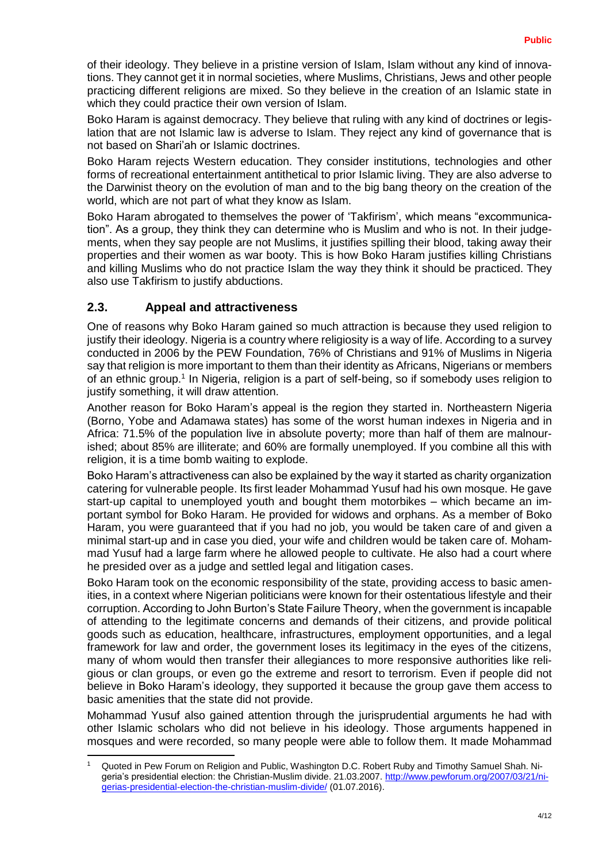of their ideology. They believe in a pristine version of Islam, Islam without any kind of innovations. They cannot get it in normal societies, where Muslims, Christians, Jews and other people practicing different religions are mixed. So they believe in the creation of an Islamic state in which they could practice their own version of Islam.

Boko Haram is against democracy. They believe that ruling with any kind of doctrines or legislation that are not Islamic law is adverse to Islam. They reject any kind of governance that is not based on Shari'ah or Islamic doctrines.

Boko Haram rejects Western education. They consider institutions, technologies and other forms of recreational entertainment antithetical to prior Islamic living. They are also adverse to the Darwinist theory on the evolution of man and to the big bang theory on the creation of the world, which are not part of what they know as Islam.

Boko Haram abrogated to themselves the power of 'Takfirism', which means "excommunication". As a group, they think they can determine who is Muslim and who is not. In their judgements, when they say people are not Muslims, it justifies spilling their blood, taking away their properties and their women as war booty. This is how Boko Haram justifies killing Christians and killing Muslims who do not practice Islam the way they think it should be practiced. They also use Takfirism to justify abductions.

#### <span id="page-3-0"></span>**2.3. Appeal and attractiveness**

1

One of reasons why Boko Haram gained so much attraction is because they used religion to justify their ideology. Nigeria is a country where religiosity is a way of life. According to a survey conducted in 2006 by the PEW Foundation, 76% of Christians and 91% of Muslims in Nigeria say that religion is more important to them than their identity as Africans, Nigerians or members of an ethnic group.<sup>1</sup> In Nigeria, religion is a part of self-being, so if somebody uses religion to justify something, it will draw attention.

Another reason for Boko Haram's appeal is the region they started in. Northeastern Nigeria (Borno, Yobe and Adamawa states) has some of the worst human indexes in Nigeria and in Africa: 71.5% of the population live in absolute poverty; more than half of them are malnourished; about 85% are illiterate; and 60% are formally unemployed. If you combine all this with religion, it is a time bomb waiting to explode.

Boko Haram's attractiveness can also be explained by the way it started as charity organization catering for vulnerable people. Its first leader Mohammad Yusuf had his own mosque. He gave start-up capital to unemployed youth and bought them motorbikes – which became an important symbol for Boko Haram. He provided for widows and orphans. As a member of Boko Haram, you were guaranteed that if you had no job, you would be taken care of and given a minimal start-up and in case you died, your wife and children would be taken care of. Mohammad Yusuf had a large farm where he allowed people to cultivate. He also had a court where he presided over as a judge and settled legal and litigation cases.

Boko Haram took on the economic responsibility of the state, providing access to basic amenities, in a context where Nigerian politicians were known for their ostentatious lifestyle and their corruption. According to John Burton's State Failure Theory, when the government is incapable of attending to the legitimate concerns and demands of their citizens, and provide political goods such as education, healthcare, infrastructures, employment opportunities, and a legal framework for law and order, the government loses its legitimacy in the eyes of the citizens, many of whom would then transfer their allegiances to more responsive authorities like religious or clan groups, or even go the extreme and resort to terrorism. Even if people did not believe in Boko Haram's ideology, they supported it because the group gave them access to basic amenities that the state did not provide.

Mohammad Yusuf also gained attention through the jurisprudential arguments he had with other Islamic scholars who did not believe in his ideology. Those arguments happened in mosques and were recorded, so many people were able to follow them. It made Mohammad

<sup>1</sup> Quoted in Pew Forum on Religion and Public, Washington D.C. Robert Ruby and Timothy Samuel Shah. Nigeria's presidential election: the Christian-Muslim divide. 21.03.2007. [http://www.pewforum.org/2007/03/21/ni](http://www.pewforum.org/2007/03/21/nigerias-presidential-election-the-christian-muslim-divide/)[gerias-presidential-election-the-christian-muslim-divide/](http://www.pewforum.org/2007/03/21/nigerias-presidential-election-the-christian-muslim-divide/) (01.07.2016).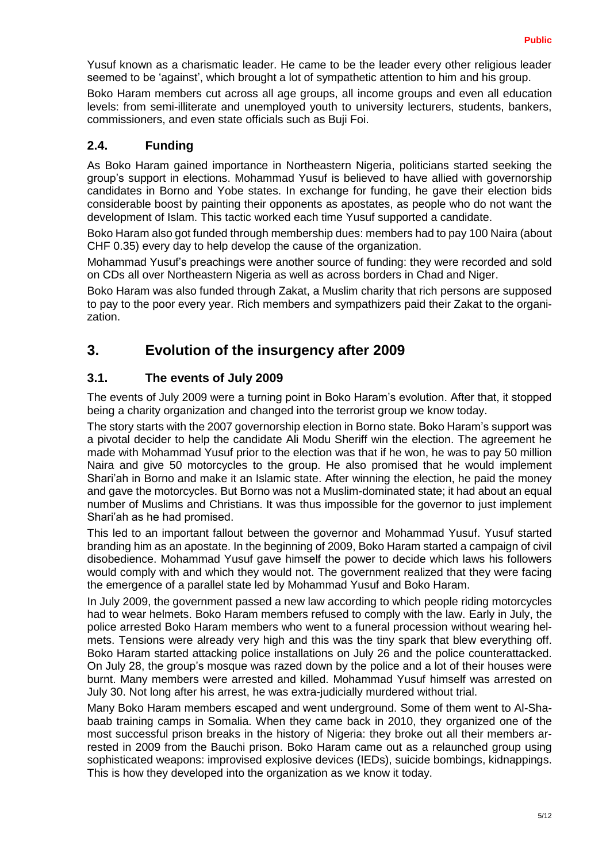Yusuf known as a charismatic leader. He came to be the leader every other religious leader seemed to be 'against', which brought a lot of sympathetic attention to him and his group.

Boko Haram members cut across all age groups, all income groups and even all education levels: from semi-illiterate and unemployed youth to university lecturers, students, bankers, commissioners, and even state officials such as Buji Foi.

#### <span id="page-4-0"></span>**2.4. Funding**

As Boko Haram gained importance in Northeastern Nigeria, politicians started seeking the group's support in elections. Mohammad Yusuf is believed to have allied with governorship candidates in Borno and Yobe states. In exchange for funding, he gave their election bids considerable boost by painting their opponents as apostates, as people who do not want the development of Islam. This tactic worked each time Yusuf supported a candidate.

Boko Haram also got funded through membership dues: members had to pay 100 Naira (about CHF 0.35) every day to help develop the cause of the organization.

Mohammad Yusuf's preachings were another source of funding: they were recorded and sold on CDs all over Northeastern Nigeria as well as across borders in Chad and Niger.

Boko Haram was also funded through Zakat, a Muslim charity that rich persons are supposed to pay to the poor every year. Rich members and sympathizers paid their Zakat to the organization.

## <span id="page-4-1"></span>**3. Evolution of the insurgency after 2009**

#### <span id="page-4-2"></span>**3.1. The events of July 2009**

The events of July 2009 were a turning point in Boko Haram's evolution. After that, it stopped being a charity organization and changed into the terrorist group we know today.

The story starts with the 2007 governorship election in Borno state. Boko Haram's support was a pivotal decider to help the candidate Ali Modu Sheriff win the election. The agreement he made with Mohammad Yusuf prior to the election was that if he won, he was to pay 50 million Naira and give 50 motorcycles to the group. He also promised that he would implement Shari'ah in Borno and make it an Islamic state. After winning the election, he paid the money and gave the motorcycles. But Borno was not a Muslim-dominated state; it had about an equal number of Muslims and Christians. It was thus impossible for the governor to just implement Shari'ah as he had promised.

This led to an important fallout between the governor and Mohammad Yusuf. Yusuf started branding him as an apostate. In the beginning of 2009, Boko Haram started a campaign of civil disobedience. Mohammad Yusuf gave himself the power to decide which laws his followers would comply with and which they would not. The government realized that they were facing the emergence of a parallel state led by Mohammad Yusuf and Boko Haram.

In July 2009, the government passed a new law according to which people riding motorcycles had to wear helmets. Boko Haram members refused to comply with the law. Early in July, the police arrested Boko Haram members who went to a funeral procession without wearing helmets. Tensions were already very high and this was the tiny spark that blew everything off. Boko Haram started attacking police installations on July 26 and the police counterattacked. On July 28, the group's mosque was razed down by the police and a lot of their houses were burnt. Many members were arrested and killed. Mohammad Yusuf himself was arrested on July 30. Not long after his arrest, he was extra-judicially murdered without trial.

Many Boko Haram members escaped and went underground. Some of them went to Al-Shabaab training camps in Somalia. When they came back in 2010, they organized one of the most successful prison breaks in the history of Nigeria: they broke out all their members arrested in 2009 from the Bauchi prison. Boko Haram came out as a relaunched group using sophisticated weapons: improvised explosive devices (IEDs), suicide bombings, kidnappings. This is how they developed into the organization as we know it today.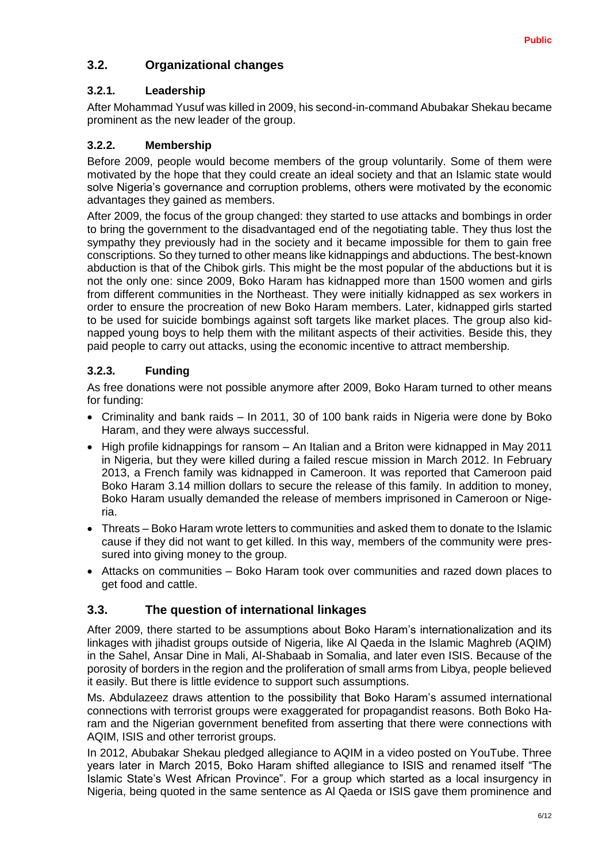#### <span id="page-5-0"></span>**3.2. Organizational changes**

#### <span id="page-5-1"></span>**3.2.1. Leadership**

After Mohammad Yusuf was killed in 2009, his second-in-command Abubakar Shekau became prominent as the new leader of the group.

#### <span id="page-5-2"></span>**3.2.2. Membership**

Before 2009, people would become members of the group voluntarily. Some of them were motivated by the hope that they could create an ideal society and that an Islamic state would solve Nigeria's governance and corruption problems, others were motivated by the economic advantages they gained as members.

After 2009, the focus of the group changed: they started to use attacks and bombings in order to bring the government to the disadvantaged end of the negotiating table. They thus lost the sympathy they previously had in the society and it became impossible for them to gain free conscriptions. So they turned to other means like kidnappings and abductions. The best-known abduction is that of the Chibok girls. This might be the most popular of the abductions but it is not the only one: since 2009, Boko Haram has kidnapped more than 1500 women and girls from different communities in the Northeast. They were initially kidnapped as sex workers in order to ensure the procreation of new Boko Haram members. Later, kidnapped girls started to be used for suicide bombings against soft targets like market places. The group also kidnapped young boys to help them with the militant aspects of their activities. Beside this, they paid people to carry out attacks, using the economic incentive to attract membership.

#### <span id="page-5-3"></span>**3.2.3. Funding**

As free donations were not possible anymore after 2009, Boko Haram turned to other means for funding:

- Criminality and bank raids In 2011, 30 of 100 bank raids in Nigeria were done by Boko Haram, and they were always successful.
- High profile kidnappings for ransom An Italian and a Briton were kidnapped in May 2011 in Nigeria, but they were killed during a failed rescue mission in March 2012. In February 2013, a French family was kidnapped in Cameroon. It was reported that Cameroon paid Boko Haram 3.14 million dollars to secure the release of this family. In addition to money, Boko Haram usually demanded the release of members imprisoned in Cameroon or Nigeria.
- Threats Boko Haram wrote letters to communities and asked them to donate to the Islamic cause if they did not want to get killed. In this way, members of the community were pressured into giving money to the group.
- Attacks on communities Boko Haram took over communities and razed down places to get food and cattle.

#### <span id="page-5-4"></span>**3.3. The question of international linkages**

After 2009, there started to be assumptions about Boko Haram's internationalization and its linkages with jihadist groups outside of Nigeria, like Al Qaeda in the Islamic Maghreb (AQIM) in the Sahel, Ansar Dine in Mali, Al-Shabaab in Somalia, and later even ISIS. Because of the porosity of borders in the region and the proliferation of small arms from Libya, people believed it easily. But there is little evidence to support such assumptions.

Ms. Abdulazeez draws attention to the possibility that Boko Haram's assumed international connections with terrorist groups were exaggerated for propagandist reasons. Both Boko Haram and the Nigerian government benefited from asserting that there were connections with AQIM, ISIS and other terrorist groups.

In 2012, Abubakar Shekau pledged allegiance to AQIM in a video posted on YouTube. Three years later in March 2015, Boko Haram shifted allegiance to ISIS and renamed itself "The Islamic State's West African Province". For a group which started as a local insurgency in Nigeria, being quoted in the same sentence as Al Qaeda or ISIS gave them prominence and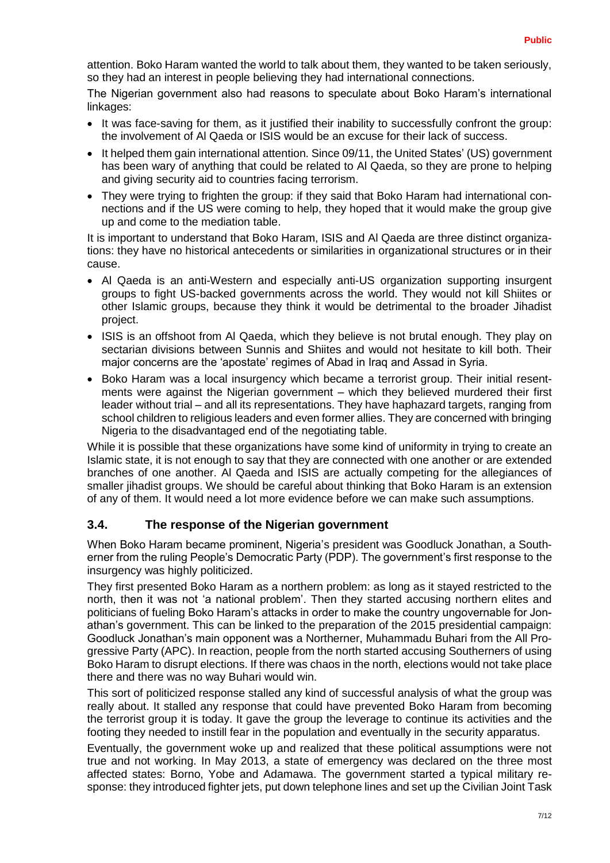attention. Boko Haram wanted the world to talk about them, they wanted to be taken seriously, so they had an interest in people believing they had international connections.

The Nigerian government also had reasons to speculate about Boko Haram's international linkages:

- It was face-saving for them, as it justified their inability to successfully confront the group: the involvement of Al Qaeda or ISIS would be an excuse for their lack of success.
- It helped them gain international attention. Since 09/11, the United States' (US) government has been wary of anything that could be related to Al Qaeda, so they are prone to helping and giving security aid to countries facing terrorism.
- They were trying to frighten the group: if they said that Boko Haram had international connections and if the US were coming to help, they hoped that it would make the group give up and come to the mediation table.

It is important to understand that Boko Haram, ISIS and Al Qaeda are three distinct organizations: they have no historical antecedents or similarities in organizational structures or in their cause.

- Al Qaeda is an anti-Western and especially anti-US organization supporting insurgent groups to fight US-backed governments across the world. They would not kill Shiites or other Islamic groups, because they think it would be detrimental to the broader Jihadist project.
- ISIS is an offshoot from AI Qaeda, which they believe is not brutal enough. They play on sectarian divisions between Sunnis and Shiites and would not hesitate to kill both. Their major concerns are the 'apostate' regimes of Abad in Iraq and Assad in Syria.
- Boko Haram was a local insurgency which became a terrorist group. Their initial resentments were against the Nigerian government – which they believed murdered their first leader without trial – and all its representations. They have haphazard targets, ranging from school children to religious leaders and even former allies. They are concerned with bringing Nigeria to the disadvantaged end of the negotiating table.

While it is possible that these organizations have some kind of uniformity in trying to create an Islamic state, it is not enough to say that they are connected with one another or are extended branches of one another. Al Qaeda and ISIS are actually competing for the allegiances of smaller jihadist groups. We should be careful about thinking that Boko Haram is an extension of any of them. It would need a lot more evidence before we can make such assumptions.

#### <span id="page-6-0"></span>**3.4. The response of the Nigerian government**

When Boko Haram became prominent, Nigeria's president was Goodluck Jonathan, a Southerner from the ruling People's Democratic Party (PDP). The government's first response to the insurgency was highly politicized.

They first presented Boko Haram as a northern problem: as long as it stayed restricted to the north, then it was not 'a national problem'. Then they started accusing northern elites and politicians of fueling Boko Haram's attacks in order to make the country ungovernable for Jonathan's government. This can be linked to the preparation of the 2015 presidential campaign: Goodluck Jonathan's main opponent was a Northerner, Muhammadu Buhari from the All Progressive Party (APC). In reaction, people from the north started accusing Southerners of using Boko Haram to disrupt elections. If there was chaos in the north, elections would not take place there and there was no way Buhari would win.

This sort of politicized response stalled any kind of successful analysis of what the group was really about. It stalled any response that could have prevented Boko Haram from becoming the terrorist group it is today. It gave the group the leverage to continue its activities and the footing they needed to instill fear in the population and eventually in the security apparatus.

Eventually, the government woke up and realized that these political assumptions were not true and not working. In May 2013, a state of emergency was declared on the three most affected states: Borno, Yobe and Adamawa. The government started a typical military response: they introduced fighter jets, put down telephone lines and set up the Civilian Joint Task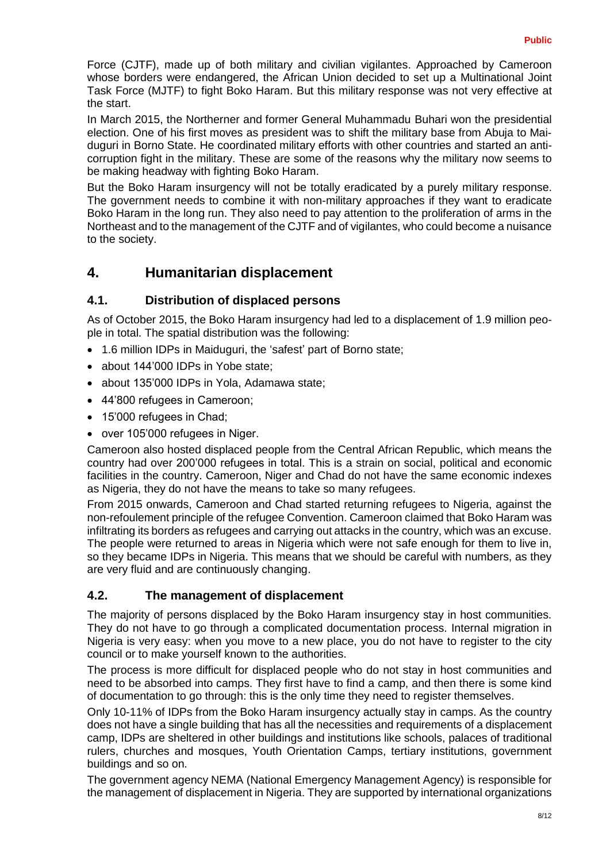Force (CJTF), made up of both military and civilian vigilantes. Approached by Cameroon whose borders were endangered, the African Union decided to set up a Multinational Joint Task Force (MJTF) to fight Boko Haram. But this military response was not very effective at the start.

In March 2015, the Northerner and former General Muhammadu Buhari won the presidential election. One of his first moves as president was to shift the military base from Abuja to Maiduguri in Borno State. He coordinated military efforts with other countries and started an anticorruption fight in the military. These are some of the reasons why the military now seems to be making headway with fighting Boko Haram.

But the Boko Haram insurgency will not be totally eradicated by a purely military response. The government needs to combine it with non-military approaches if they want to eradicate Boko Haram in the long run. They also need to pay attention to the proliferation of arms in the Northeast and to the management of the CJTF and of vigilantes, who could become a nuisance to the society.

## <span id="page-7-0"></span>**4. Humanitarian displacement**

#### <span id="page-7-1"></span>**4.1. Distribution of displaced persons**

As of October 2015, the Boko Haram insurgency had led to a displacement of 1.9 million people in total. The spatial distribution was the following:

- 1.6 million IDPs in Maiduguri, the 'safest' part of Borno state;
- about 144'000 IDPs in Yobe state:
- about 135'000 IDPs in Yola, Adamawa state;
- 44'800 refugees in Cameroon;
- 15'000 refugees in Chad;
- over 105'000 refugees in Niger.

Cameroon also hosted displaced people from the Central African Republic, which means the country had over 200'000 refugees in total. This is a strain on social, political and economic facilities in the country. Cameroon, Niger and Chad do not have the same economic indexes as Nigeria, they do not have the means to take so many refugees.

From 2015 onwards, Cameroon and Chad started returning refugees to Nigeria, against the non-refoulement principle of the refugee Convention. Cameroon claimed that Boko Haram was infiltrating its borders as refugees and carrying out attacks in the country, which was an excuse. The people were returned to areas in Nigeria which were not safe enough for them to live in, so they became IDPs in Nigeria. This means that we should be careful with numbers, as they are very fluid and are continuously changing.

#### <span id="page-7-2"></span>**4.2. The management of displacement**

The majority of persons displaced by the Boko Haram insurgency stay in host communities. They do not have to go through a complicated documentation process. Internal migration in Nigeria is very easy: when you move to a new place, you do not have to register to the city council or to make yourself known to the authorities.

The process is more difficult for displaced people who do not stay in host communities and need to be absorbed into camps. They first have to find a camp, and then there is some kind of documentation to go through: this is the only time they need to register themselves.

Only 10-11% of IDPs from the Boko Haram insurgency actually stay in camps. As the country does not have a single building that has all the necessities and requirements of a displacement camp, IDPs are sheltered in other buildings and institutions like schools, palaces of traditional rulers, churches and mosques, Youth Orientation Camps, tertiary institutions, government buildings and so on.

The government agency NEMA (National Emergency Management Agency) is responsible for the management of displacement in Nigeria. They are supported by international organizations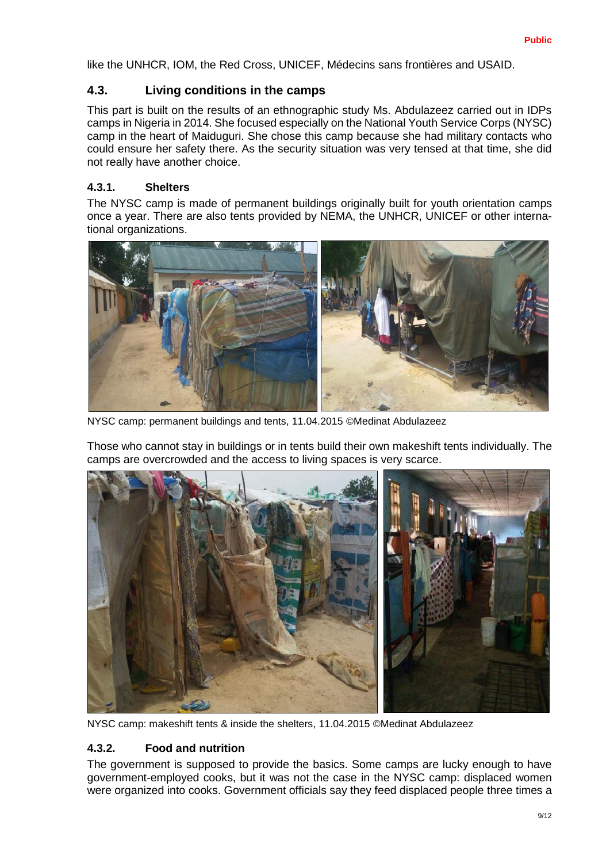like the UNHCR, IOM, the Red Cross, UNICEF, Médecins sans frontières and USAID.

#### <span id="page-8-0"></span>**4.3. Living conditions in the camps**

This part is built on the results of an ethnographic study Ms. Abdulazeez carried out in IDPs camps in Nigeria in 2014. She focused especially on the National Youth Service Corps (NYSC) camp in the heart of Maiduguri. She chose this camp because she had military contacts who could ensure her safety there. As the security situation was very tensed at that time, she did not really have another choice.

#### <span id="page-8-1"></span>**4.3.1. Shelters**

The NYSC camp is made of permanent buildings originally built for youth orientation camps once a year. There are also tents provided by NEMA, the UNHCR, UNICEF or other international organizations.



NYSC camp: permanent buildings and tents, 11.04.2015 ©Medinat Abdulazeez

Those who cannot stay in buildings or in tents build their own makeshift tents individually. The camps are overcrowded and the access to living spaces is very scarce.



NYSC camp: makeshift tents & inside the shelters, 11.04.2015 ©Medinat Abdulazeez

#### <span id="page-8-2"></span>**4.3.2. Food and nutrition**

The government is supposed to provide the basics. Some camps are lucky enough to have government-employed cooks, but it was not the case in the NYSC camp: displaced women were organized into cooks. Government officials say they feed displaced people three times a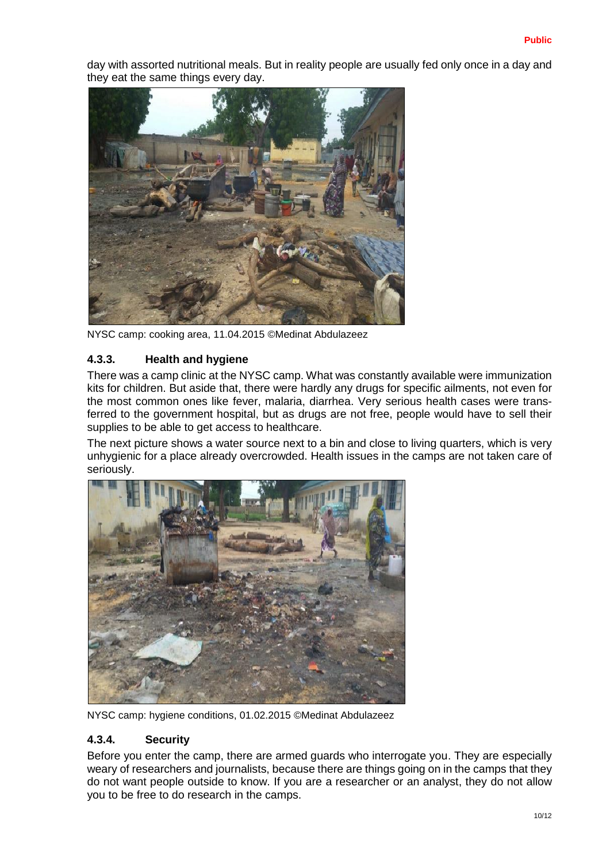day with assorted nutritional meals. But in reality people are usually fed only once in a day and they eat the same things every day.



NYSC camp: cooking area, 11.04.2015 ©Medinat Abdulazeez

#### <span id="page-9-0"></span>**4.3.3. Health and hygiene**

There was a camp clinic at the NYSC camp. What was constantly available were immunization kits for children. But aside that, there were hardly any drugs for specific ailments, not even for the most common ones like fever, malaria, diarrhea. Very serious health cases were transferred to the government hospital, but as drugs are not free, people would have to sell their supplies to be able to get access to healthcare.

The next picture shows a water source next to a bin and close to living quarters, which is very unhygienic for a place already overcrowded. Health issues in the camps are not taken care of seriously.



NYSC camp: hygiene conditions, 01.02.2015 ©Medinat Abdulazeez

#### <span id="page-9-1"></span>**4.3.4. Security**

Before you enter the camp, there are armed guards who interrogate you. They are especially weary of researchers and journalists, because there are things going on in the camps that they do not want people outside to know. If you are a researcher or an analyst, they do not allow you to be free to do research in the camps.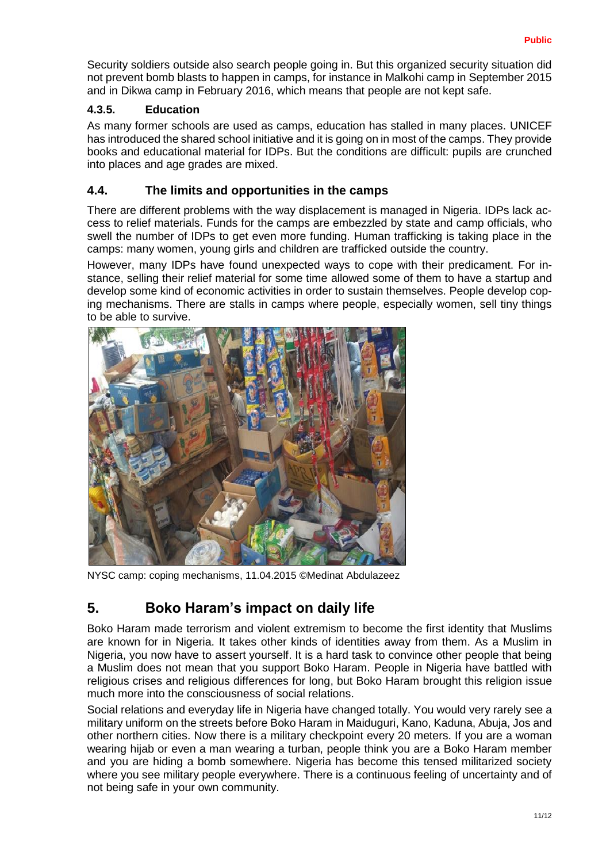Security soldiers outside also search people going in. But this organized security situation did not prevent bomb blasts to happen in camps, for instance in Malkohi camp in September 2015 and in Dikwa camp in February 2016, which means that people are not kept safe.

#### <span id="page-10-0"></span>**4.3.5. Education**

As many former schools are used as camps, education has stalled in many places. UNICEF has introduced the shared school initiative and it is going on in most of the camps. They provide books and educational material for IDPs. But the conditions are difficult: pupils are crunched into places and age grades are mixed.

#### <span id="page-10-1"></span>**4.4. The limits and opportunities in the camps**

There are different problems with the way displacement is managed in Nigeria. IDPs lack access to relief materials. Funds for the camps are embezzled by state and camp officials, who swell the number of IDPs to get even more funding. Human trafficking is taking place in the camps: many women, young girls and children are trafficked outside the country.

However, many IDPs have found unexpected ways to cope with their predicament. For instance, selling their relief material for some time allowed some of them to have a startup and develop some kind of economic activities in order to sustain themselves. People develop coping mechanisms. There are stalls in camps where people, especially women, sell tiny things to be able to survive.



NYSC camp: coping mechanisms, 11.04.2015 ©Medinat Abdulazeez

## <span id="page-10-2"></span>**5. Boko Haram's impact on daily life**

Boko Haram made terrorism and violent extremism to become the first identity that Muslims are known for in Nigeria. It takes other kinds of identities away from them. As a Muslim in Nigeria, you now have to assert yourself. It is a hard task to convince other people that being a Muslim does not mean that you support Boko Haram. People in Nigeria have battled with religious crises and religious differences for long, but Boko Haram brought this religion issue much more into the consciousness of social relations.

Social relations and everyday life in Nigeria have changed totally. You would very rarely see a military uniform on the streets before Boko Haram in Maiduguri, Kano, Kaduna, Abuja, Jos and other northern cities. Now there is a military checkpoint every 20 meters. If you are a woman wearing hijab or even a man wearing a turban, people think you are a Boko Haram member and you are hiding a bomb somewhere. Nigeria has become this tensed militarized society where you see military people everywhere. There is a continuous feeling of uncertainty and of not being safe in your own community.